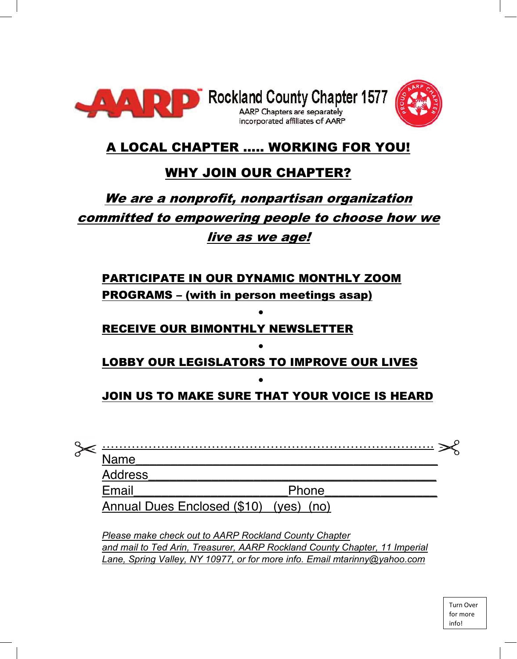



### A LOCAL CHAPTER ….. WORKING FOR YOU!

### WHY JOIN OUR CHAPTER?

# We are a nonprofit, nonpartisan organization committed to empowering people to choose how we live as we age!

## PARTICIPATE IN OUR DYNAMIC MONTHLY ZOOM PROGRAMS – (with in person meetings asap) •

#### RECEIVE OUR BIMONTHLY NEWSLETTER

#### • LOBBY OUR LEGISLATORS TO IMPROVE OUR LIVES

•

### JOIN US TO MAKE SURE THAT YOUR VOICE IS HEARD

| <b>Name</b>    |                                        |  |
|----------------|----------------------------------------|--|
| <b>Address</b> |                                        |  |
| Email          | Phone                                  |  |
|                | Annual Dues Enclosed (\$10) (yes) (no) |  |

*Please make check out to AARP Rockland County Chapter and mail to Ted Arin, Treasurer, AARP Rockland County Chapter, 11 Imperial Lane, Spring Valley, NY 10977, or for more info. Email mtarinny@yahoo.com*